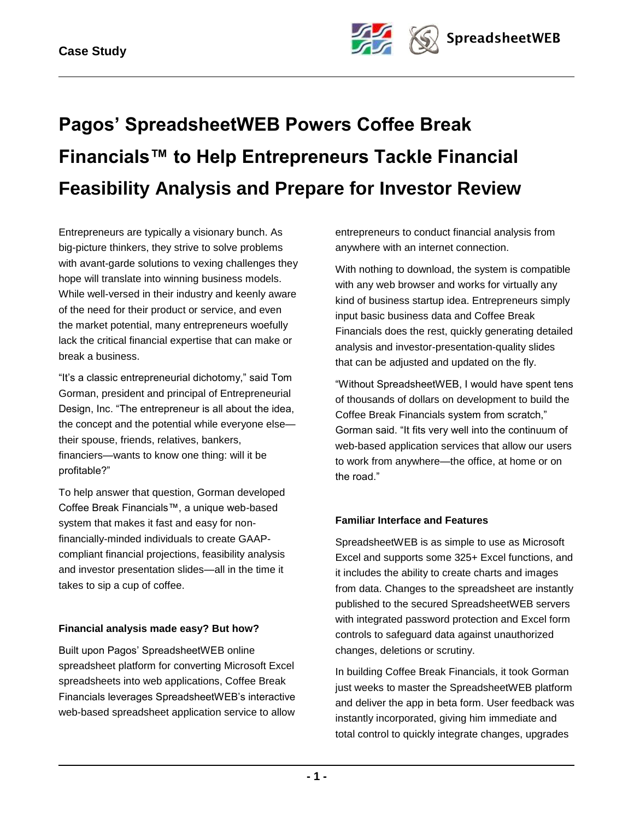

# **Pagos' SpreadsheetWEB Powers Coffee Break Financials™ to Help Entrepreneurs Tackle Financial Feasibility Analysis and Prepare for Investor Review**

Entrepreneurs are typically a visionary bunch. As big-picture thinkers, they strive to solve problems with avant-garde solutions to vexing challenges they hope will translate into winning business models. While well-versed in their industry and keenly aware of the need for their product or service, and even the market potential, many entrepreneurs woefully lack the critical financial expertise that can make or break a business.

"It's a classic entrepreneurial dichotomy," said Tom Gorman, president and principal of Entrepreneurial Design, Inc. "The entrepreneur is all about the idea, the concept and the potential while everyone else their spouse, friends, relatives, bankers, financiers—wants to know one thing: will it be profitable?"

To help answer that question, Gorman developed Coffee Break Financials™, a unique web-based system that makes it fast and easy for nonfinancially-minded individuals to create GAAPcompliant financial projections, feasibility analysis and investor presentation slides—all in the time it takes to sip a cup of coffee.

## **Financial analysis made easy? But how?**

Built upon Pagos' SpreadsheetWEB online spreadsheet platform for converting Microsoft Excel spreadsheets into web applications, Coffee Break Financials leverages SpreadsheetWEB's interactive web-based spreadsheet application service to allow

entrepreneurs to conduct financial analysis from anywhere with an internet connection.

With nothing to download, the system is compatible with any web browser and works for virtually any kind of business startup idea. Entrepreneurs simply input basic business data and Coffee Break Financials does the rest, quickly generating detailed analysis and investor-presentation-quality slides that can be adjusted and updated on the fly.

―Without SpreadsheetWEB, I would have spent tens of thousands of dollars on development to build the Coffee Break Financials system from scratch," Gorman said. "It fits very well into the continuum of web-based application services that allow our users to work from anywhere—the office, at home or on the road."

## **Familiar Interface and Features**

SpreadsheetWEB is as simple to use as Microsoft Excel and supports some 325+ Excel functions, and it includes the ability to create charts and images from data. Changes to the spreadsheet are instantly published to the secured SpreadsheetWEB servers with integrated password protection and Excel form controls to safeguard data against unauthorized changes, deletions or scrutiny.

In building Coffee Break Financials, it took Gorman just weeks to master the SpreadsheetWEB platform and deliver the app in beta form. User feedback was instantly incorporated, giving him immediate and total control to quickly integrate changes, upgrades